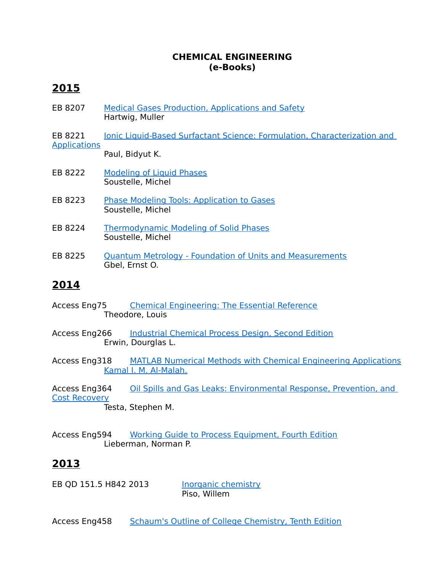#### **CHEMICAL ENGINEERING (e-Books)**

# **2015**

- EB 8207 [Medical Gases Production, Applications and Safety](http://ls.mapua.edu.ph/TLCScripts/interpac.dll?LabelDisplay&Config=PAC&Branch=,1,&FormId=308936826&RecordNumber=78419) Hartwig, Muller
- EB 8221 Ionic Liquid-Based Surfactant Science: Formulation, Characterization and **[Applications](http://ls.mapua.edu.ph/TLCScripts/interpac.dll?LabelDisplay&Config=PAC&Branch=,1,&FormId=308936826&RecordNumber=78433)**

Paul, Bidyut K.

- EB 8222 [Modeling of Liquid Phases](http://ls.mapua.edu.ph/TLCScripts/interpac.dll?LabelDisplay&LastResult=Search%26Config=PAC%26FormId=308936826%26Branch=,1,%26LimitsId=308805753%26StartIndex=0%26SearchField=16777216%26SearchType=5%26SearchData=mODELLING+LIQUID%26NotAddToHistory=1%26ItemsPerPage=10%26SortField=0%26PeriodLimit=-1%26SearchAvailableOnly=0&DataNumber=78434&RecordNumber=78434&SearchAvailableOnly=0&FormId=308936826&ItemField=1&Config=PAC&Branch=,1,) Soustelle, Michel
- EB 8223 [Phase Modeling Tools: Application to Gases](http://ls.mapua.edu.ph/TLCScripts/interpac.dll?LabelDisplay&LastResult=Search%26Config=PAC%26FormId=308936826%26Branch=,1,%26LimitsId=308805753%26StartIndex=0%26SearchField=16777216%26SearchType=5%26SearchData=Phase+Modeling+Tools%26NotAddToHistory=1%26ItemsPerPage=10%26SortField=0%26PeriodLimit=-1%26SearchAvailableOnly=0&DataNumber=78435&RecordNumber=78435&SearchAvailableOnly=0&FormId=308936826&ItemField=1&Config=PAC&Branch=,1,) Soustelle, Michel
- EB 8224 [Thermodynamic Modeling of Solid Phases](http://ls.mapua.edu.ph/TLCScripts/interpac.dll?LabelDisplay&Config=PAC&Branch=,1,&FormId=308936826&RecordNumber=78436) Soustelle, Michel
- EB 8225 [Quantum Metrology Foundation of Units and Measurements](http://ls.mapua.edu.ph/TLCScripts/interpac.dll?LabelDisplay&Config=PAC&Branch=,1,&FormId=308936826&RecordNumber=78437) Gbel, Ernst O.

#### **2014**

- Access Eng75 [Chemical Engineering: The Essential Reference](http://ls.mapua.edu.ph/TLCScripts/interpac.dll?LabelDisplay&LastResult=Search%26Config=PAC%26FormId=119771871%26Branch=,1,%26LimitsId=119640797%26StartIndex=0%26SearchField=16777216%26SearchType=0%26SearchData=Chemical+Engineering%3A+The+Essential+Reference%26NotAddToHistory=1%26ItemsPerPage=10%26SortField=0%26PeriodLimit=-1%26SearchAvailableOnly=0&DataNumber=71067&RecordNumber=71067&SearchAvailableOnly=0&FormId=119771871&ItemField=1&Config=PAC&Branch=,1,) Theodore, Louis
- Access Eng266 [Industrial Chemical Process Design, Second Edition](http://ls.mapua.edu.ph/TLCScripts/interpac.dll?LabelDisplay&LastResult=Search%26Config=PAC%26FormId=132096302%26Branch=,0,%26LimitsId=0%26StartIndex=0%26SearchField=16777216%26SearchType=7%26SearchData=Industrial+Chemical+Process+Design%2C+Second+Edition%26NotAddToHistory=1%26ItemsPerPage=10%26SortField=0%26PeriodLimit=-1%26SearchAvailableOnly=0&DataNumber=71479&RecordNumber=71479&SearchAvailableOnly=0&FormId=132096302&ItemField=1&Config=PAC&Branch=,0,) Erwin, Dourglas L.
- Access Eng318 [MATLAB Numerical Methods with Chemical Engineering Applications](http://ls.mapua.edu.ph/TLCScripts/interpac.dll?LabelDisplay&Config=PAC&Branch=,1,&FormId=119771871&RecordNumber=71531) [Kamal I. M. Al-Malah.](http://ls.mapua.edu.ph/TLCScripts/interpac.dll?Browse&Direction=0&SearchData=KAMAL+I+M+AL+MALAH&NotAddToHistory=1&FormId=119771871&LimitsId=119640797&SearchField=2&SearchType=3&ItemsPerPage=10&Config=PAC&Branch=,1,)
- Access Eng364 [Oil Spills and Gas Leaks: Environmental Response, Prevention, and](http://ls.mapua.edu.ph/TLCScripts/interpac.dll?LabelDisplay&Config=PAC&Branch=,1,&FormId=119771871&RecordNumber=71579)  [Cost Recovery](http://ls.mapua.edu.ph/TLCScripts/interpac.dll?LabelDisplay&Config=PAC&Branch=,1,&FormId=119771871&RecordNumber=71579) Testa, Stephen M.
- Access Eng594 [Working Guide to Process Equipment, Fourth Edition](http://ls.mapua.edu.ph/TLCScripts/interpac.dll?LabelDisplay&LastResult=Search%26Config=PAC%26FormId=132096302%26Branch=,1,%26LimitsId=132489836%26StartIndex=0%26SearchField=16777216%26SearchType=7%26SearchData=Working+Guide+to+Process+Equipment%2C+Fourth+Edition%26NotAddToHistory=1%26ItemsPerPage=10%26SortField=0%26PeriodLimit=-1%26SearchAvailableOnly=0&DataNumber=71811&RecordNumber=71811&SearchAvailableOnly=0&FormId=132096302&ItemField=1&Config=PAC&Branch=,1,) Lieberman, Norman P.

# **2013**

EB QD 151.5 H842 2013 [Inorganic chemistry](http://ls.mapua.edu.ph/TLCScripts/interpac.dll?LabelDisplay&LastResult=Search%26Config=PAC%26FormId=119771871%26Branch=,1,%26LimitsId=119640797%26StartIndex=30%26SearchField=16777216%26SearchType=0%26SearchData=Inorganic+Chemistry%26NotAddToHistory=1%26ItemsPerPage=10%26SortField=0%26PeriodLimit=-1%26SearchAvailableOnly=0&DataNumber=71866&RecordNumber=71866&SearchAvailableOnly=0&FormId=119771871&ItemField=1&Config=PAC&Branch=,1,) Piso, Willem

Access Eng458 [Schaum's Outline of College Chemistry, Tenth Edition](http://ls.mapua.edu.ph/TLCScripts/interpac.dll?LabelDisplay&Config=PAC&Branch=,1,&FormId=308936826&RecordNumber=71675)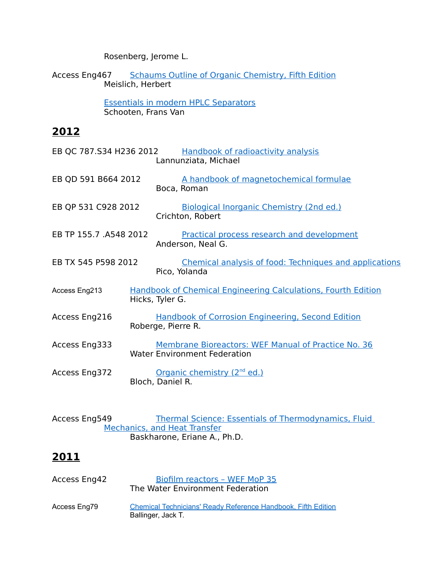Rosenberg, Jerome L.

Access Eng467 [Schaums Outline of Organic Chemistry, Fifth Edition](http://ls.mapua.edu.ph/TLCScripts/interpac.dll?LabelDisplay&Config=PAC&Branch=,1,&FormId=119771871&RecordNumber=71684) Meislich, Herbert

> [Essentials in modern HPLC Separators](http://ls.mapua.edu.ph/TLCScripts/interpac.dll?LabelDisplay&Config=PAC&Branch=,1,&FormId=119771871&RecordNumber=71860) Schooten, Frans Van

### **2012**

| EB QC 787.S34 H236 2012 |                 | <b>Handbook of radioactivity analysis</b><br>Lannunziata, Michael                          |
|-------------------------|-----------------|--------------------------------------------------------------------------------------------|
| EB QD 591 B664 2012     |                 | A handbook of magnetochemical formulae<br>Boca, Roman                                      |
| EB QP 531 C928 2012     |                 | Biological Inorganic Chemistry (2nd ed.)<br>Crichton, Robert                               |
| EB TP 155.7 .A548 2012  |                 | <b>Practical process research and development</b><br>Anderson, Neal G.                     |
| EB TX 545 P598 2012     |                 | <b>Chemical analysis of food: Techniques and applications</b><br>Pico, Yolanda             |
| Access Eng213           | Hicks, Tyler G. | <b>Handbook of Chemical Engineering Calculations, Fourth Edition</b>                       |
| Access Eng216           |                 | <b>Handbook of Corrosion Engineering, Second Edition</b><br>Roberge, Pierre R.             |
| Access Eng333           |                 | Membrane Bioreactors: WEF Manual of Practice No. 36<br><b>Water Environment Federation</b> |
| Access Eng372           |                 | Organic chemistry (2 <sup>nd</sup> ed.)<br>Bloch, Daniel R.                                |
|                         |                 |                                                                                            |

Access Eng549 Thermal Science: Essentials of Thermodynamics, Fluid [Mechanics, and Heat Transfer](http://ls.mapua.edu.ph/TLCScripts/interpac.dll?LabelDisplay&Config=PAC&Branch=,0,&FormId=132096302&RecordNumber=71766) Baskharone, Eriane A., Ph.D.

# **2011**

| Access Eng42 | Biofilm reactors - WEF MoP 35<br>The Water Environment Federation                          |
|--------------|--------------------------------------------------------------------------------------------|
| Access Eng79 | <b>Chemical Technicians' Ready Reference Handbook, Fifth Edition</b><br>Ballinger, Jack T. |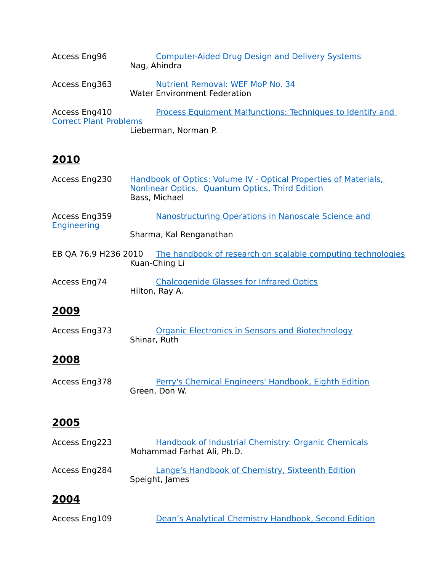| Access Eng96                                   | <b>Computer-Aided Drug Design and Delivery Systems</b><br>Nag, Ahindra                    |
|------------------------------------------------|-------------------------------------------------------------------------------------------|
| Access Eng363                                  | Nutrient Removal: WEF MoP No. 34<br><b>Water Environment Federation</b>                   |
| Access Eng410<br><b>Correct Plant Problems</b> | <b>Process Equipment Malfunctions: Techniques to Identify and</b><br>Lieberman, Norman P. |

# **2010**

| Access Eng230                       | Handbook of Optics: Volume IV - Optical Properties of Materials,<br>Nonlinear Optics, Quantum Optics, Third Edition<br>Bass, Michael |
|-------------------------------------|--------------------------------------------------------------------------------------------------------------------------------------|
| Access Eng359<br><b>Engineering</b> | Nanostructuring Operations in Nanoscale Science and                                                                                  |
|                                     | Sharma, Kal Renganathan                                                                                                              |
|                                     | EB QA 76.9 H236 2010 The handbook of research on scalable computing technologies<br>Kuan-Ching Li                                    |
| Access Eng74                        | <b>Chalcogenide Glasses for Infrared Optics</b><br>Hilton, Ray A.                                                                    |
| 2009                                |                                                                                                                                      |
| Access Eng373                       | <b>Organic Electronics in Sensors and Biotechnology</b><br>Shinar, Ruth                                                              |
| <u> 2008</u>                        |                                                                                                                                      |
| Access Eng378                       | Perry's Chemical Engineers' Handbook, Eighth Edition<br>Green, Don W.                                                                |
| 2005                                |                                                                                                                                      |
| Access Eng223                       | Handbook of Industrial Chemistry: Organic Chemicals                                                                                  |

| <b>ALLESS LIIGLLY</b> | <u>Handbook of industrial Chemistry. Organic Chemicals</u>         |
|-----------------------|--------------------------------------------------------------------|
|                       | Mohammad Farhat Ali, Ph.D.                                         |
| Access Eng284         | Lange's Handbook of Chemistry, Sixteenth Edition<br>Speight, James |

# **2004**

| Access Eng109 | Dean's Analytical Chemistry Handbook, Second Edition |  |  |
|---------------|------------------------------------------------------|--|--|
|               |                                                      |  |  |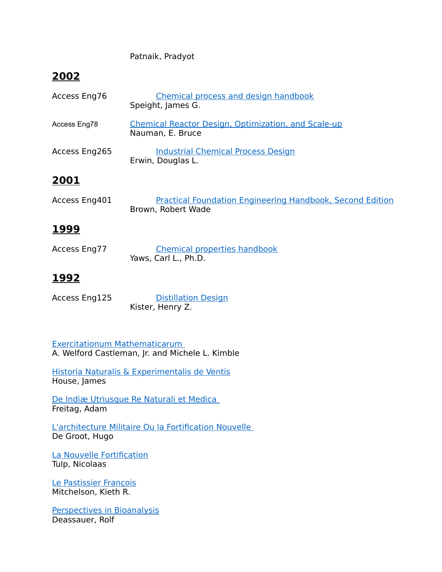Patnaik, Pradyot

# **2002**

| Access Eng76  | Chemical process and design handbook<br>Speight, James G.                              |
|---------------|----------------------------------------------------------------------------------------|
| Access Eng78  | <b>Chemical Reactor Design, Optimization, and Scale-up</b><br>Nauman, E. Bruce         |
| Access Eng265 | <b>Industrial Chemical Process Design</b><br>Erwin, Douglas L.                         |
| 2001          |                                                                                        |
| Access Eng401 | <b>Practical Foundation Engineering Handbook, Second Edition</b><br>Brown, Robert Wade |

### **1999**

| Access Eng77 | <b>Chemical properties handbook</b> |
|--------------|-------------------------------------|
|              | Yaws, Carl L., Ph.D.                |

### **1992**

| Access Eng125 | <b>Distillation Design</b> |
|---------------|----------------------------|
|               | Kister, Henry Z.           |

 [Exercitationum Mathematicarum](http://ls.mapua.edu.ph/TLCScripts/interpac.dll?LabelDisplay&Config=PAC&Branch=,1,&FormId=280622494&RecordNumber=71861) A. Welford Castleman, Jr. and Michele L. Kimble

[Historia Naturalis & Experimentalis de Ventis](http://ls.mapua.edu.ph/TLCScripts/interpac.dll?LabelDisplay&Config=PAC&Branch=,1,&FormId=280622494&RecordNumber=71865) House, James

 [De Indiæ Utriusque Re Naturali et Medica](http://ls.mapua.edu.ph/TLCScripts/interpac.dll?LabelDisplay&Config=PAC&Branch=,1,&FormId=280622494&RecordNumber=71867) Freitag, Adam

 [L'architecture Militaire Ou la Fortification Nouvelle](http://ls.mapua.edu.ph/TLCScripts/interpac.dll?LabelDisplay&Config=PAC&Branch=,1,&FormId=280622494&RecordNumber=71868) De Groot, Hugo

[La Nouvelle Fortification](http://ls.mapua.edu.ph/TLCScripts/interpac.dll?LabelDisplay&LastResult=Search%26Config=PAC%26FormId=280622494%26Branch=,1,%26LimitsId=280491421%26StartIndex=0%26SearchField=16777216%26SearchType=1%26SearchData=La+Nouvelle+Fortification%26NotAddToHistory=1%26ItemsPerPage=10%26SortField=0%26PeriodLimit=-1%26SearchAvailableOnly=0&DataNumber=71870&RecordNumber=71870&SearchAvailableOnly=0&FormId=280622494&ItemField=1&Config=PAC&Branch=,1,) Tulp, Nicolaas

[Le Pastissier François](http://ls.mapua.edu.ph/TLCScripts/interpac.dll?LabelDisplay&Config=PAC&Branch=,1,&FormId=280622494&RecordNumber=71875) Mitchelson, Kieth R.

[Perspectives in Bioanalysis](http://ls.mapua.edu.ph/TLCScripts/interpac.dll?LabelDisplay&Config=PAC&Branch=,1,&FormId=280622494&RecordNumber=71876) Deassauer, Rolf